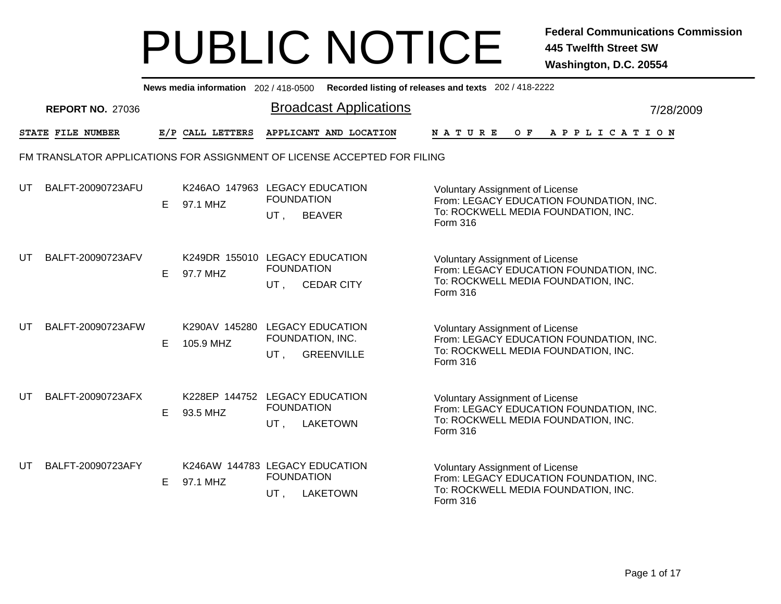|    |                                                                          |    |                                             |                          | News media information 202/418-0500 Recorded listing of releases and texts 202/418-2222 |                                                                                                                                      |  |         |             |  |  |  |           |
|----|--------------------------------------------------------------------------|----|---------------------------------------------|--------------------------|-----------------------------------------------------------------------------------------|--------------------------------------------------------------------------------------------------------------------------------------|--|---------|-------------|--|--|--|-----------|
|    | <b>REPORT NO. 27036</b>                                                  |    |                                             |                          | <b>Broadcast Applications</b>                                                           |                                                                                                                                      |  |         |             |  |  |  | 7/28/2009 |
|    | STATE FILE NUMBER                                                        |    | E/P CALL LETTERS                            |                          | APPLICANT AND LOCATION                                                                  | NATURE                                                                                                                               |  | $O$ $F$ | APPLICATION |  |  |  |           |
|    | FM TRANSLATOR APPLICATIONS FOR ASSIGNMENT OF LICENSE ACCEPTED FOR FILING |    |                                             |                          |                                                                                         |                                                                                                                                      |  |         |             |  |  |  |           |
| UT | BALFT-20090723AFU                                                        | E. | K246AO 147963 LEGACY EDUCATION<br>97.1 MHZ  | <b>FOUNDATION</b><br>UT, | <b>BEAVER</b>                                                                           | <b>Voluntary Assignment of License</b><br>From: LEGACY EDUCATION FOUNDATION, INC.<br>To: ROCKWELL MEDIA FOUNDATION, INC.<br>Form 316 |  |         |             |  |  |  |           |
| UT | BALFT-20090723AFV                                                        | E. | K249DR 155010 LEGACY EDUCATION<br>97.7 MHZ  | <b>FOUNDATION</b><br>UT. | <b>CEDAR CITY</b>                                                                       | <b>Voluntary Assignment of License</b><br>From: LEGACY EDUCATION FOUNDATION, INC.<br>To: ROCKWELL MEDIA FOUNDATION, INC.<br>Form 316 |  |         |             |  |  |  |           |
| UT | BALFT-20090723AFW                                                        | E. | K290AV 145280 LEGACY EDUCATION<br>105.9 MHZ | FOUNDATION, INC.<br>UT.  | <b>GREENVILLE</b>                                                                       | <b>Voluntary Assignment of License</b><br>From: LEGACY EDUCATION FOUNDATION, INC.<br>To: ROCKWELL MEDIA FOUNDATION, INC.<br>Form 316 |  |         |             |  |  |  |           |
| UT | BALFT-20090723AFX                                                        | E. | K228EP 144752 LEGACY EDUCATION<br>93.5 MHZ  | <b>FOUNDATION</b><br>UT, | <b>LAKETOWN</b>                                                                         | <b>Voluntary Assignment of License</b><br>From: LEGACY EDUCATION FOUNDATION, INC.<br>To: ROCKWELL MEDIA FOUNDATION, INC.<br>Form 316 |  |         |             |  |  |  |           |
| UT | BALFT-20090723AFY                                                        | E. | K246AW 144783 LEGACY EDUCATION<br>97.1 MHZ  | <b>FOUNDATION</b><br>UT, | <b>LAKETOWN</b>                                                                         | Voluntary Assignment of License<br>From: LEGACY EDUCATION FOUNDATION, INC.<br>To: ROCKWELL MEDIA FOUNDATION, INC.<br>Form 316        |  |         |             |  |  |  |           |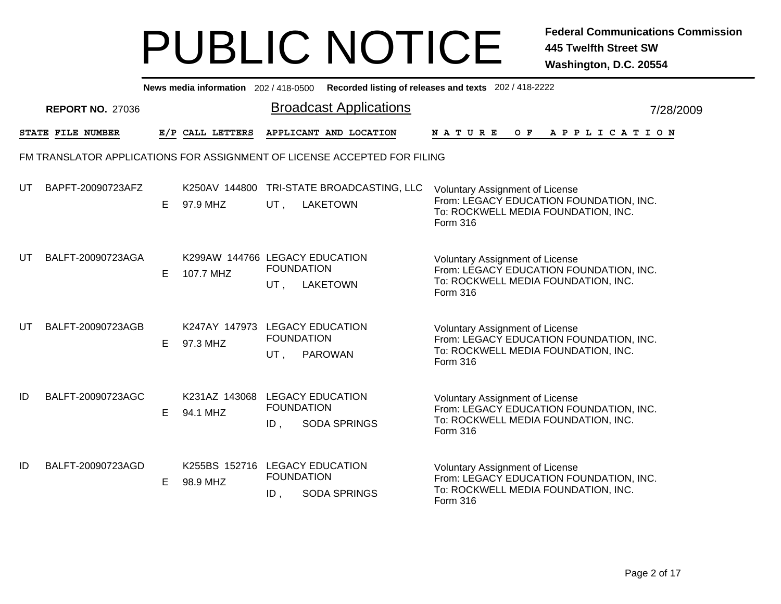|    |                         |    |                                             |                             | News media information 202/418-0500 Recorded listing of releases and texts 202/418-2222 |                                                                                                                                      |  |  |         |                       |  |  |           |  |
|----|-------------------------|----|---------------------------------------------|-----------------------------|-----------------------------------------------------------------------------------------|--------------------------------------------------------------------------------------------------------------------------------------|--|--|---------|-----------------------|--|--|-----------|--|
|    | <b>REPORT NO. 27036</b> |    |                                             |                             | <b>Broadcast Applications</b>                                                           |                                                                                                                                      |  |  |         |                       |  |  | 7/28/2009 |  |
|    | STATE FILE NUMBER       |    | E/P CALL LETTERS                            |                             | APPLICANT AND LOCATION                                                                  | <b>NATURE</b>                                                                                                                        |  |  | $O$ $F$ | A P P L I C A T I O N |  |  |           |  |
|    |                         |    |                                             |                             | FM TRANSLATOR APPLICATIONS FOR ASSIGNMENT OF LICENSE ACCEPTED FOR FILING                |                                                                                                                                      |  |  |         |                       |  |  |           |  |
| UT | BAPFT-20090723AFZ       | E. | 97.9 MHZ                                    | UT.                         | K250AV 144800 TRI-STATE BROADCASTING, LLC<br><b>LAKETOWN</b>                            | <b>Voluntary Assignment of License</b><br>From: LEGACY EDUCATION FOUNDATION, INC.<br>To: ROCKWELL MEDIA FOUNDATION, INC.<br>Form 316 |  |  |         |                       |  |  |           |  |
| UT | BALFT-20090723AGA       | E. | K299AW 144766 LEGACY EDUCATION<br>107.7 MHZ | <b>FOUNDATION</b><br>UT.    | <b>LAKETOWN</b>                                                                         | <b>Voluntary Assignment of License</b><br>From: LEGACY EDUCATION FOUNDATION, INC.<br>To: ROCKWELL MEDIA FOUNDATION, INC.<br>Form 316 |  |  |         |                       |  |  |           |  |
| UT | BALFT-20090723AGB       | E. | K247AY 147973 LEGACY EDUCATION<br>97.3 MHZ  | <b>FOUNDATION</b><br>UT,    | <b>PAROWAN</b>                                                                          | <b>Voluntary Assignment of License</b><br>From: LEGACY EDUCATION FOUNDATION, INC.<br>To: ROCKWELL MEDIA FOUNDATION, INC.<br>Form 316 |  |  |         |                       |  |  |           |  |
| ID | BALFT-20090723AGC       | E. | K231AZ 143068 LEGACY EDUCATION<br>94.1 MHZ  | <b>FOUNDATION</b><br>$ID$ , | <b>SODA SPRINGS</b>                                                                     | Voluntary Assignment of License<br>From: LEGACY EDUCATION FOUNDATION, INC.<br>To: ROCKWELL MEDIA FOUNDATION, INC.<br>Form 316        |  |  |         |                       |  |  |           |  |
| ID | BALFT-20090723AGD       | E. | K255BS 152716 LEGACY EDUCATION<br>98.9 MHZ  | <b>FOUNDATION</b><br>ID,    | <b>SODA SPRINGS</b>                                                                     | <b>Voluntary Assignment of License</b><br>From: LEGACY EDUCATION FOUNDATION, INC.<br>To: ROCKWELL MEDIA FOUNDATION, INC.<br>Form 316 |  |  |         |                       |  |  |           |  |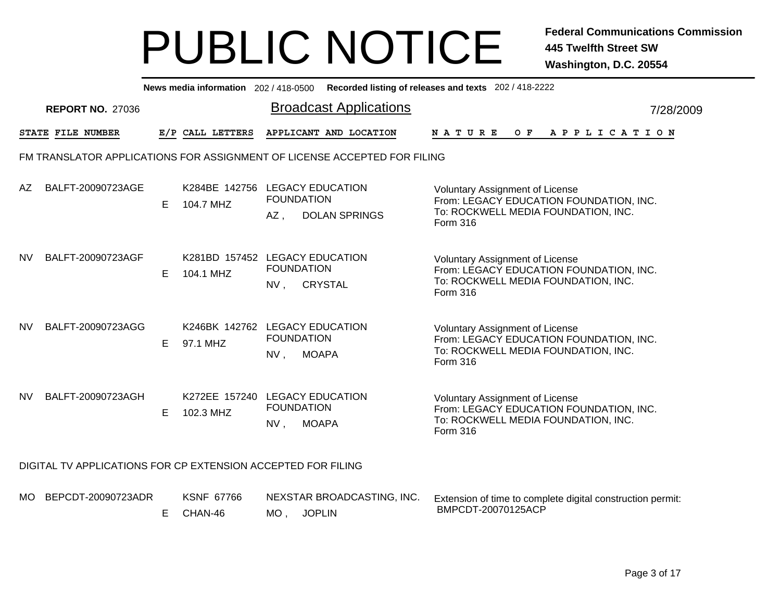|           |                                                                          |    |                                             |                                                  | News media information 202/418-0500 Recorded listing of releases and texts 202/418-2222 |                                                                                                                                             |     |                       |  |  |           |  |  |
|-----------|--------------------------------------------------------------------------|----|---------------------------------------------|--------------------------------------------------|-----------------------------------------------------------------------------------------|---------------------------------------------------------------------------------------------------------------------------------------------|-----|-----------------------|--|--|-----------|--|--|
|           | <b>REPORT NO. 27036</b>                                                  |    |                                             | <b>Broadcast Applications</b>                    |                                                                                         |                                                                                                                                             |     |                       |  |  | 7/28/2009 |  |  |
|           | STATE FILE NUMBER                                                        |    | E/P CALL LETTERS                            | APPLICANT AND LOCATION                           |                                                                                         | <b>NATURE</b>                                                                                                                               | O F | A P P L I C A T I O N |  |  |           |  |  |
|           | FM TRANSLATOR APPLICATIONS FOR ASSIGNMENT OF LICENSE ACCEPTED FOR FILING |    |                                             |                                                  |                                                                                         |                                                                                                                                             |     |                       |  |  |           |  |  |
| AZ.       | BALFT-20090723AGE                                                        | E. | K284BE 142756 LEGACY EDUCATION<br>104.7 MHZ | <b>FOUNDATION</b><br><b>DOLAN SPRINGS</b><br>AZ, |                                                                                         | <b>Voluntary Assignment of License</b><br>From: LEGACY EDUCATION FOUNDATION, INC.<br>To: ROCKWELL MEDIA FOUNDATION, INC.<br><b>Form 316</b> |     |                       |  |  |           |  |  |
| NV.       | BALFT-20090723AGF                                                        | E  | K281BD 157452 LEGACY EDUCATION<br>104.1 MHZ | <b>FOUNDATION</b><br><b>CRYSTAL</b><br>NV,       |                                                                                         | <b>Voluntary Assignment of License</b><br>From: LEGACY EDUCATION FOUNDATION, INC.<br>To: ROCKWELL MEDIA FOUNDATION, INC.<br>Form 316        |     |                       |  |  |           |  |  |
| <b>NV</b> | BALFT-20090723AGG                                                        | E. | K246BK 142762 LEGACY EDUCATION<br>97.1 MHZ  | <b>FOUNDATION</b><br><b>MOAPA</b><br>NV,         |                                                                                         | Voluntary Assignment of License<br>From: LEGACY EDUCATION FOUNDATION, INC.<br>To: ROCKWELL MEDIA FOUNDATION, INC.<br>Form 316               |     |                       |  |  |           |  |  |
| <b>NV</b> | BALFT-20090723AGH                                                        | E. | K272EE 157240 LEGACY EDUCATION<br>102.3 MHZ | <b>FOUNDATION</b><br>NV,<br><b>MOAPA</b>         |                                                                                         | <b>Voluntary Assignment of License</b><br>From: LEGACY EDUCATION FOUNDATION, INC.<br>To: ROCKWELL MEDIA FOUNDATION, INC.<br>Form 316        |     |                       |  |  |           |  |  |
|           | DIGITAL TV APPLICATIONS FOR CP EXTENSION ACCEPTED FOR FILING             |    |                                             |                                                  |                                                                                         |                                                                                                                                             |     |                       |  |  |           |  |  |

MOBEPCDT-20090723ADR KSNF 67766 NEXSTAR BROADCASTING, INC. MO , JOPLIN E CHAN-46 Extension of time to complete digital construction permit: BMPCDT-20070125ACP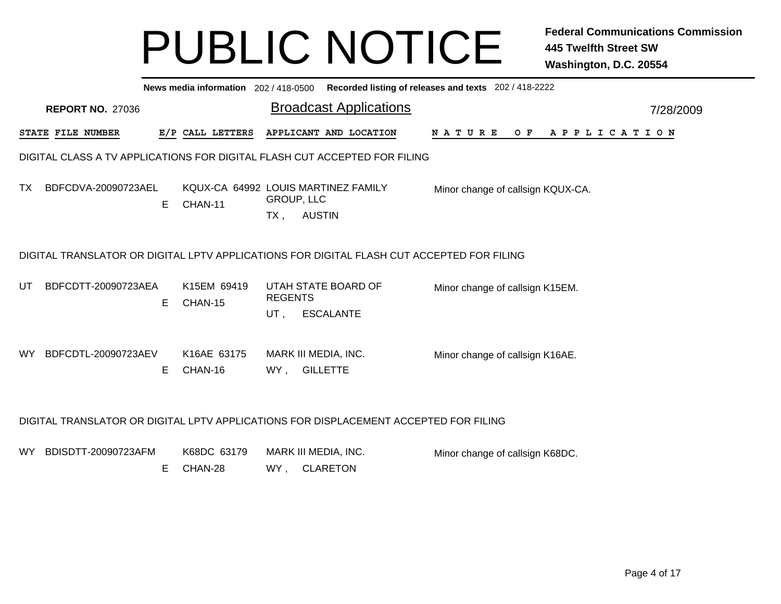|     |                         |    |                                                |                             |               | News media information 202/418-0500 Recorded listing of releases and texts 202/418-2222   |                                   |  |  |     |  |  |             |  |           |  |
|-----|-------------------------|----|------------------------------------------------|-----------------------------|---------------|-------------------------------------------------------------------------------------------|-----------------------------------|--|--|-----|--|--|-------------|--|-----------|--|
|     | <b>REPORT NO. 27036</b> |    |                                                |                             |               | <b>Broadcast Applications</b>                                                             |                                   |  |  |     |  |  |             |  | 7/28/2009 |  |
|     | STATE FILE NUMBER       |    | E/P CALL LETTERS                               |                             |               | APPLICANT AND LOCATION                                                                    | NATURE                            |  |  | O F |  |  | APPLICATION |  |           |  |
|     |                         |    |                                                |                             |               | DIGITAL CLASS A TV APPLICATIONS FOR DIGITAL FLASH CUT ACCEPTED FOR FILING                 |                                   |  |  |     |  |  |             |  |           |  |
| TX. | BDFCDVA-20090723AEL     | E. | KQUX-CA 64992 LOUIS MARTINEZ FAMILY<br>CHAN-11 | <b>GROUP, LLC</b><br>$TX$ , | <b>AUSTIN</b> |                                                                                           | Minor change of callsign KQUX-CA. |  |  |     |  |  |             |  |           |  |
|     |                         |    |                                                |                             |               | DIGITAL TRANSLATOR OR DIGITAL LPTV APPLICATIONS FOR DIGITAL FLASH CUT ACCEPTED FOR FILING |                                   |  |  |     |  |  |             |  |           |  |
| UT  | BDFCDTT-20090723AEA     | Е  | K15EM 69419<br>CHAN-15                         | <b>REGENTS</b><br>UT,       |               | UTAH STATE BOARD OF<br><b>ESCALANTE</b>                                                   | Minor change of callsign K15EM.   |  |  |     |  |  |             |  |           |  |
| WY. | BDFCDTL-20090723AEV     | E. | K16AE 63175<br>CHAN-16                         | WY,                         |               | MARK III MEDIA, INC.<br><b>GILLETTE</b>                                                   | Minor change of callsign K16AE.   |  |  |     |  |  |             |  |           |  |
|     |                         |    |                                                |                             |               | DIGITAL TRANSLATOR OR DIGITAL LPTV APPLICATIONS FOR DISPLACEMENT ACCEPTED FOR FILING      |                                   |  |  |     |  |  |             |  |           |  |
| WY  | BDISDTT-20090723AFM     | E. | K68DC 63179<br>CHAN-28                         | WY,                         |               | MARK III MEDIA, INC.<br><b>CLARETON</b>                                                   | Minor change of callsign K68DC.   |  |  |     |  |  |             |  |           |  |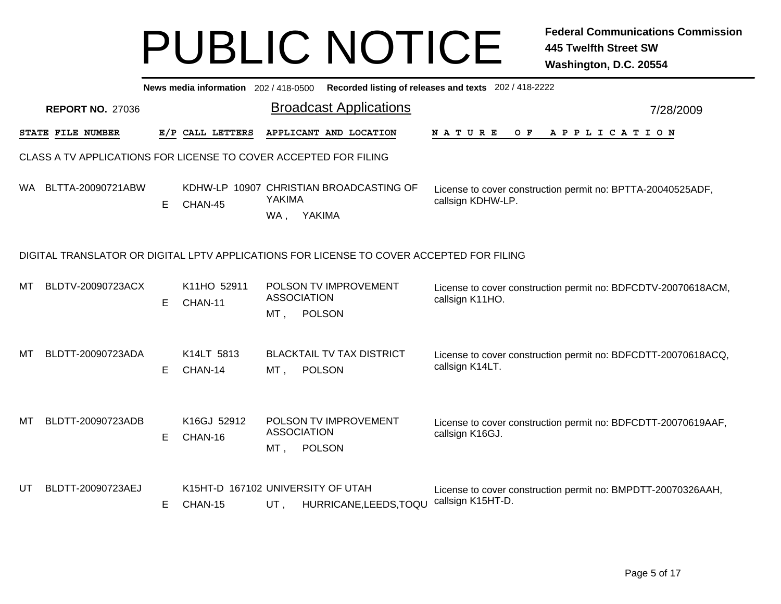|     |                                                                  |    |                                              |                            |                                                                                          | News media information 202 / 418-0500 Recorded listing of releases and texts 202 / 418-2222 |           |
|-----|------------------------------------------------------------------|----|----------------------------------------------|----------------------------|------------------------------------------------------------------------------------------|---------------------------------------------------------------------------------------------|-----------|
|     | <b>REPORT NO. 27036</b>                                          |    |                                              |                            | <b>Broadcast Applications</b>                                                            |                                                                                             | 7/28/2009 |
|     | STATE FILE NUMBER                                                |    | E/P CALL LETTERS                             |                            | APPLICANT AND LOCATION                                                                   | NATURE<br>O F<br>APPLICATION                                                                |           |
|     | CLASS A TV APPLICATIONS FOR LICENSE TO COVER ACCEPTED FOR FILING |    |                                              |                            |                                                                                          |                                                                                             |           |
| WA. | BLTTA-20090721ABW                                                | Е  | CHAN-45                                      | <b>YAKIMA</b><br>WA,       | KDHW-LP 10907 CHRISTIAN BROADCASTING OF<br>YAKIMA                                        | License to cover construction permit no: BPTTA-20040525ADF,<br>callsign KDHW-LP.            |           |
|     |                                                                  |    |                                              |                            | DIGITAL TRANSLATOR OR DIGITAL LPTV APPLICATIONS FOR LICENSE TO COVER ACCEPTED FOR FILING |                                                                                             |           |
| мт  | BLDTV-20090723ACX                                                | E. | K11HO 52911<br>CHAN-11                       | <b>ASSOCIATION</b><br>MT,  | POLSON TV IMPROVEMENT<br><b>POLSON</b>                                                   | License to cover construction permit no: BDFCDTV-20070618ACM,<br>callsign K11HO.            |           |
| мт  | BLDTT-20090723ADA                                                | Е  | K14LT 5813<br>CHAN-14                        | MT ,                       | <b>BLACKTAIL TV TAX DISTRICT</b><br>POLSON                                               | License to cover construction permit no: BDFCDTT-20070618ACQ,<br>callsign K14LT.            |           |
| МT  | BLDTT-20090723ADB                                                | E. | K16GJ 52912<br>CHAN-16                       | <b>ASSOCIATION</b><br>MT , | POLSON TV IMPROVEMENT<br>POLSON                                                          | License to cover construction permit no: BDFCDTT-20070619AAF,<br>callsign K16GJ.            |           |
| UT  | BLDTT-20090723AEJ                                                | E. | K15HT-D 167102 UNIVERSITY OF UTAH<br>CHAN-15 | $UT$ ,                     | HURRICANE, LEEDS, TOQU                                                                   | License to cover construction permit no: BMPDTT-20070326AAH,<br>callsign K15HT-D.           |           |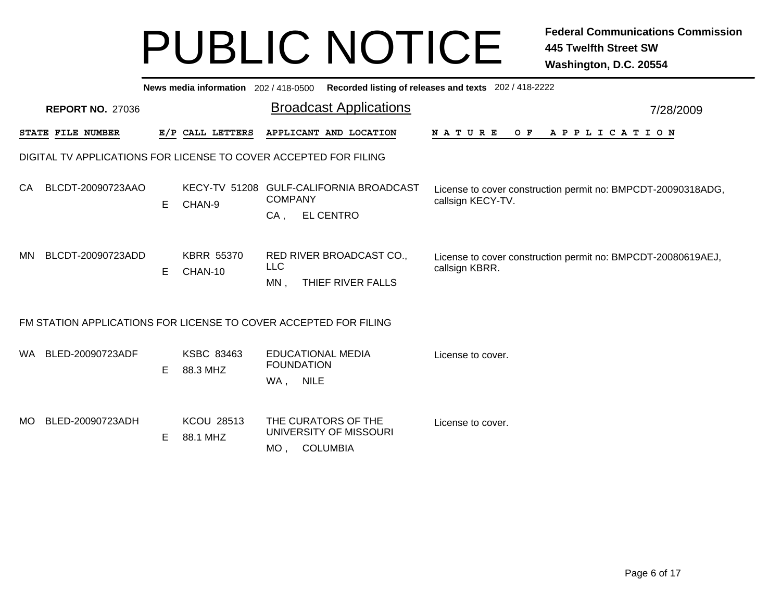|      |                         |    |                               | News media information 202/418-0500 Recorded listing of releases and texts 202/418-2222 |                                                                                   |           |
|------|-------------------------|----|-------------------------------|-----------------------------------------------------------------------------------------|-----------------------------------------------------------------------------------|-----------|
|      | <b>REPORT NO. 27036</b> |    |                               | <b>Broadcast Applications</b>                                                           |                                                                                   | 7/28/2009 |
|      | STATE FILE NUMBER       |    | E/P CALL LETTERS              | APPLICANT AND LOCATION                                                                  | NATURE<br>A P P L I C A T I O N<br>O F                                            |           |
|      |                         |    |                               | DIGITAL TV APPLICATIONS FOR LICENSE TO COVER ACCEPTED FOR FILING                        |                                                                                   |           |
| CA   | BLCDT-20090723AAO       | Е  | CHAN-9                        | KECY-TV 51208 GULF-CALIFORNIA BROADCAST<br><b>COMPANY</b><br><b>EL CENTRO</b><br>CA,    | License to cover construction permit no: BMPCDT-20090318ADG,<br>callsign KECY-TV. |           |
| MN.  | BLCDT-20090723ADD       | E. | <b>KBRR 55370</b><br>CHAN-10  | RED RIVER BROADCAST CO.,<br><b>LLC</b><br>$MN$ ,<br>THIEF RIVER FALLS                   | License to cover construction permit no: BMPCDT-20080619AEJ,<br>callsign KBRR.    |           |
|      |                         |    |                               | FM STATION APPLICATIONS FOR LICENSE TO COVER ACCEPTED FOR FILING                        |                                                                                   |           |
|      | WA BLED-20090723ADF     | E  | KSBC 83463<br>88.3 MHZ        | EDUCATIONAL MEDIA<br><b>FOUNDATION</b><br>WA, NILE                                      | License to cover.                                                                 |           |
| MO . | BLED-20090723ADH        | Е  | <b>KCOU 28513</b><br>88.1 MHZ | THE CURATORS OF THE<br>UNIVERSITY OF MISSOURI<br><b>COLUMBIA</b><br>MO,                 | License to cover.                                                                 |           |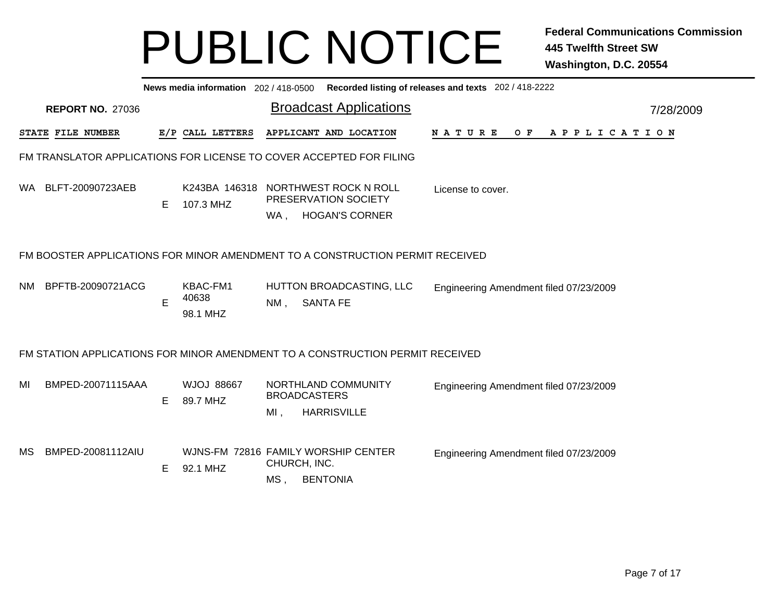|     |                         |   |                               |                     | News media information 202/418-0500 Recorded listing of releases and texts 202/418-2222 |                                        |  |  |                |  |  |  |           |
|-----|-------------------------|---|-------------------------------|---------------------|-----------------------------------------------------------------------------------------|----------------------------------------|--|--|----------------|--|--|--|-----------|
|     | <b>REPORT NO. 27036</b> |   |                               |                     | <b>Broadcast Applications</b>                                                           |                                        |  |  |                |  |  |  | 7/28/2009 |
|     | STATE FILE NUMBER       |   | E/P CALL LETTERS              |                     | APPLICANT AND LOCATION                                                                  | N A T U R E                            |  |  | OF APPLICATION |  |  |  |           |
|     |                         |   |                               |                     | FM TRANSLATOR APPLICATIONS FOR LICENSE TO COVER ACCEPTED FOR FILING                     |                                        |  |  |                |  |  |  |           |
|     | WA BLFT-20090723AEB     | Е | 107.3 MHZ                     | WA,                 | K243BA 146318 NORTHWEST ROCK N ROLL<br>PRESERVATION SOCIETY<br><b>HOGAN'S CORNER</b>    | License to cover.                      |  |  |                |  |  |  |           |
|     |                         |   |                               |                     | FM BOOSTER APPLICATIONS FOR MINOR AMENDMENT TO A CONSTRUCTION PERMIT RECEIVED           |                                        |  |  |                |  |  |  |           |
| NM. | BPFTB-20090721ACG       | E | KBAC-FM1<br>40638<br>98.1 MHZ | $NM$ ,              | HUTTON BROADCASTING, LLC<br><b>SANTA FE</b>                                             | Engineering Amendment filed 07/23/2009 |  |  |                |  |  |  |           |
|     |                         |   |                               |                     | FM STATION APPLICATIONS FOR MINOR AMENDMENT TO A CONSTRUCTION PERMIT RECEIVED           |                                        |  |  |                |  |  |  |           |
| MI  | BMPED-20071115AAA       | Е | <b>WJOJ 88667</b><br>89.7 MHZ | MI,                 | NORTHLAND COMMUNITY<br><b>BROADCASTERS</b><br><b>HARRISVILLE</b>                        | Engineering Amendment filed 07/23/2009 |  |  |                |  |  |  |           |
| MS. | BMPED-20081112AIU       | Е | 92.1 MHZ                      | CHURCH, INC.<br>MS, | WJNS-FM 72816 FAMILY WORSHIP CENTER<br><b>BENTONIA</b>                                  | Engineering Amendment filed 07/23/2009 |  |  |                |  |  |  |           |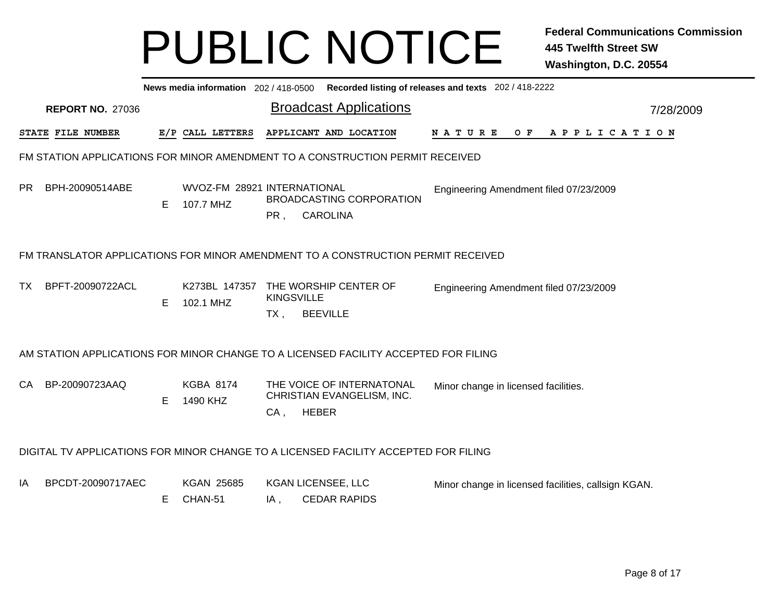|     |                          |    |                                          |                             | News media information 202 / 418-0500 Recorded listing of releases and texts 202 / 418-2222 |                                                     |  |  |  |  |  |  |                |           |
|-----|--------------------------|----|------------------------------------------|-----------------------------|---------------------------------------------------------------------------------------------|-----------------------------------------------------|--|--|--|--|--|--|----------------|-----------|
|     | <b>REPORT NO. 27036</b>  |    |                                          |                             | <b>Broadcast Applications</b>                                                               |                                                     |  |  |  |  |  |  |                | 7/28/2009 |
|     | <b>STATE FILE NUMBER</b> |    | E/P CALL LETTERS                         |                             | APPLICANT AND LOCATION                                                                      | N A T U R E                                         |  |  |  |  |  |  | OF APPLICATION |           |
|     |                          |    |                                          |                             | FM STATION APPLICATIONS FOR MINOR AMENDMENT TO A CONSTRUCTION PERMIT RECEIVED               |                                                     |  |  |  |  |  |  |                |           |
| PR. | BPH-20090514ABE          | Е  | WVOZ-FM 28921 INTERNATIONAL<br>107.7 MHZ | PR,                         | <b>BROADCASTING CORPORATION</b><br><b>CAROLINA</b>                                          | Engineering Amendment filed 07/23/2009              |  |  |  |  |  |  |                |           |
|     |                          |    |                                          |                             | FM TRANSLATOR APPLICATIONS FOR MINOR AMENDMENT TO A CONSTRUCTION PERMIT RECEIVED            |                                                     |  |  |  |  |  |  |                |           |
| TX  | BPFT-20090722ACL         | E. | K273BL 147357<br>102.1 MHZ               | <b>KINGSVILLE</b><br>$TX$ , | THE WORSHIP CENTER OF<br><b>BEEVILLE</b>                                                    | Engineering Amendment filed 07/23/2009              |  |  |  |  |  |  |                |           |
|     |                          |    |                                          |                             | AM STATION APPLICATIONS FOR MINOR CHANGE TO A LICENSED FACILITY ACCEPTED FOR FILING         |                                                     |  |  |  |  |  |  |                |           |
| CA  | BP-20090723AAQ           | Е  | <b>KGBA 8174</b><br>1490 KHZ             | $CA$ ,                      | THE VOICE OF INTERNATONAL<br>CHRISTIAN EVANGELISM, INC.<br><b>HEBER</b>                     | Minor change in licensed facilities.                |  |  |  |  |  |  |                |           |
|     |                          |    |                                          |                             | DIGITAL TV APPLICATIONS FOR MINOR CHANGE TO A LICENSED FACILITY ACCEPTED FOR FILING         |                                                     |  |  |  |  |  |  |                |           |
| ΙA  | BPCDT-20090717AEC        | Е  | <b>KGAN 25685</b><br>CHAN-51             | IA,                         | <b>KGAN LICENSEE, LLC</b><br><b>CEDAR RAPIDS</b>                                            | Minor change in licensed facilities, callsign KGAN. |  |  |  |  |  |  |                |           |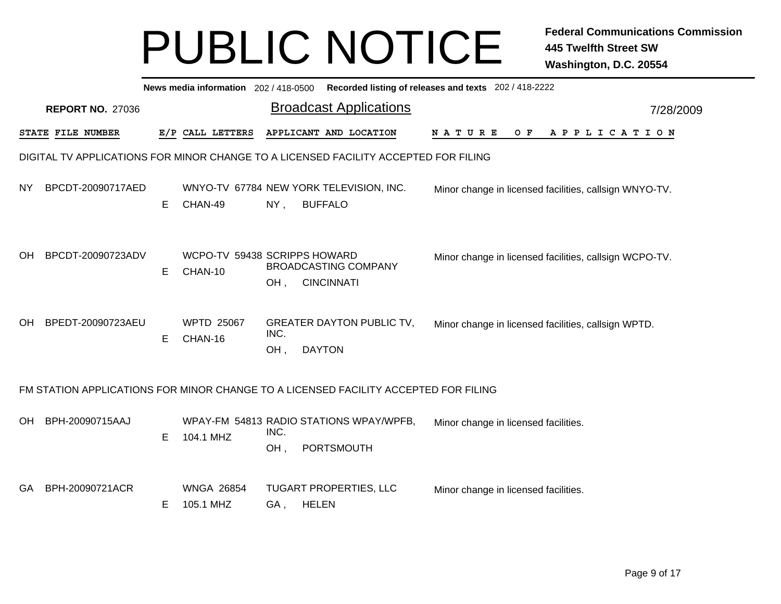|           |                                                                                     |   | News media information 202 / 418-0500                |                                    |               |                   | Recorded listing of releases and texts 202 / 418-2222 |                                                        |  |     |  |  |                       |           |
|-----------|-------------------------------------------------------------------------------------|---|------------------------------------------------------|------------------------------------|---------------|-------------------|-------------------------------------------------------|--------------------------------------------------------|--|-----|--|--|-----------------------|-----------|
|           | <b>REPORT NO. 27036</b>                                                             |   |                                                      |                                    |               |                   | <b>Broadcast Applications</b>                         |                                                        |  |     |  |  |                       | 7/28/2009 |
|           | STATE FILE NUMBER                                                                   |   | E/P CALL LETTERS                                     | APPLICANT AND LOCATION             |               |                   |                                                       | N A T U R E                                            |  | O F |  |  | A P P L I C A T I O N |           |
|           | DIGITAL TV APPLICATIONS FOR MINOR CHANGE TO A LICENSED FACILITY ACCEPTED FOR FILING |   |                                                      |                                    |               |                   |                                                       |                                                        |  |     |  |  |                       |           |
| NY.       | BPCDT-20090717AED                                                                   | E | WNYO-TV 67784 NEW YORK TELEVISION, INC.<br>CHAN-49   | NY,                                |               | <b>BUFFALO</b>    |                                                       | Minor change in licensed facilities, callsign WNYO-TV. |  |     |  |  |                       |           |
| <b>OH</b> | BPCDT-20090723ADV                                                                   | Е | WCPO-TV 59438 SCRIPPS HOWARD<br>CHAN-10              | <b>BROADCASTING COMPANY</b><br>OH, |               | <b>CINCINNATI</b> |                                                       | Minor change in licensed facilities, callsign WCPO-TV. |  |     |  |  |                       |           |
| <b>OH</b> | BPEDT-20090723AEU                                                                   | Е | <b>WPTD 25067</b><br>CHAN-16                         | INC.<br>OH,                        | <b>DAYTON</b> |                   | <b>GREATER DAYTON PUBLIC TV,</b>                      | Minor change in licensed facilities, callsign WPTD.    |  |     |  |  |                       |           |
|           | FM STATION APPLICATIONS FOR MINOR CHANGE TO A LICENSED FACILITY ACCEPTED FOR FILING |   |                                                      |                                    |               |                   |                                                       |                                                        |  |     |  |  |                       |           |
| OH        | BPH-20090715AAJ                                                                     | E | WPAY-FM 54813 RADIO STATIONS WPAY/WPFB,<br>104.1 MHZ | INC.<br>OH,                        |               | PORTSMOUTH        |                                                       | Minor change in licensed facilities.                   |  |     |  |  |                       |           |
| <b>GA</b> | BPH-20090721ACR                                                                     | Е | <b>WNGA 26854</b><br>105.1 MHZ                       | TUGART PROPERTIES, LLC<br>GA,      | <b>HELEN</b>  |                   |                                                       | Minor change in licensed facilities.                   |  |     |  |  |                       |           |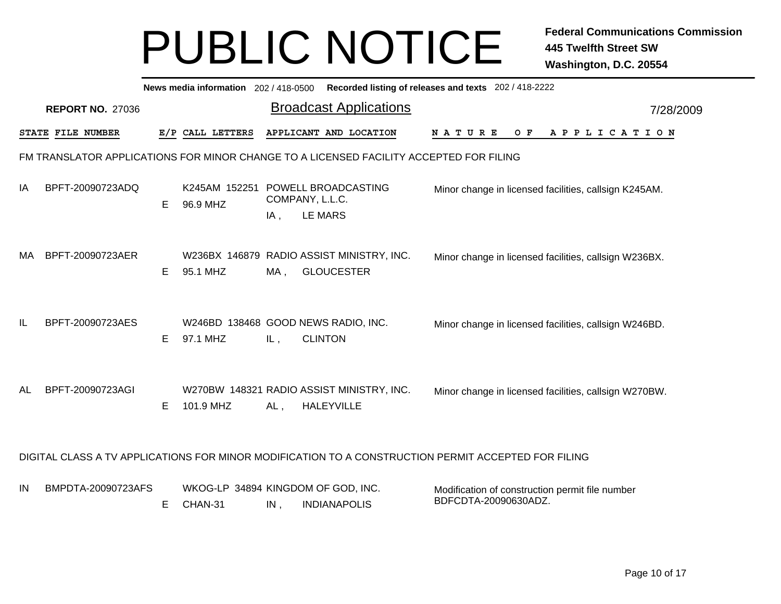|     |                                                                                                     |    |                                                 |                        | News media information 202 / 418-0500 Recorded listing of releases and texts 202 / 418-2222 |                                                                         |  |  |     |  |  |             |  |  |           |
|-----|-----------------------------------------------------------------------------------------------------|----|-------------------------------------------------|------------------------|---------------------------------------------------------------------------------------------|-------------------------------------------------------------------------|--|--|-----|--|--|-------------|--|--|-----------|
|     | <b>REPORT NO. 27036</b>                                                                             |    |                                                 |                        | <b>Broadcast Applications</b>                                                               |                                                                         |  |  |     |  |  |             |  |  | 7/28/2009 |
|     | STATE FILE NUMBER                                                                                   |    | E/P CALL LETTERS                                |                        | APPLICANT AND LOCATION                                                                      | NATURE                                                                  |  |  | O F |  |  | APPLICATION |  |  |           |
|     | FM TRANSLATOR APPLICATIONS FOR MINOR CHANGE TO A LICENSED FACILITY ACCEPTED FOR FILING              |    |                                                 |                        |                                                                                             |                                                                         |  |  |     |  |  |             |  |  |           |
| ΙA  | BPFT-20090723ADQ                                                                                    | E  | K245AM 152251 POWELL BROADCASTING<br>96.9 MHZ   | COMPANY, L.L.C.<br>IA, | <b>LE MARS</b>                                                                              | Minor change in licensed facilities, callsign K245AM.                   |  |  |     |  |  |             |  |  |           |
| MA. | BPFT-20090723AER                                                                                    | E. | 95.1 MHZ                                        | MA,                    | W236BX 146879 RADIO ASSIST MINISTRY, INC.<br><b>GLOUCESTER</b>                              | Minor change in licensed facilities, callsign W236BX.                   |  |  |     |  |  |             |  |  |           |
| IL  | BPFT-20090723AES                                                                                    | E  | W246BD 138468 GOOD NEWS RADIO, INC.<br>97.1 MHZ | IL,                    | <b>CLINTON</b>                                                                              | Minor change in licensed facilities, callsign W246BD.                   |  |  |     |  |  |             |  |  |           |
| AL  | BPFT-20090723AGI                                                                                    | Е  | 101.9 MHZ                                       | $AL$ ,                 | W270BW 148321 RADIO ASSIST MINISTRY, INC.<br><b>HALEYVILLE</b>                              | Minor change in licensed facilities, callsign W270BW.                   |  |  |     |  |  |             |  |  |           |
|     | DIGITAL CLASS A TV APPLICATIONS FOR MINOR MODIFICATION TO A CONSTRUCTION PERMIT ACCEPTED FOR FILING |    |                                                 |                        |                                                                                             |                                                                         |  |  |     |  |  |             |  |  |           |
| IN  | BMPDTA-20090723AFS                                                                                  | Е  | WKOG-LP 34894 KINGDOM OF GOD, INC.<br>CHAN-31   | IN,                    | <b>INDIANAPOLIS</b>                                                                         | Modification of construction permit file number<br>BDFCDTA-20090630ADZ. |  |  |     |  |  |             |  |  |           |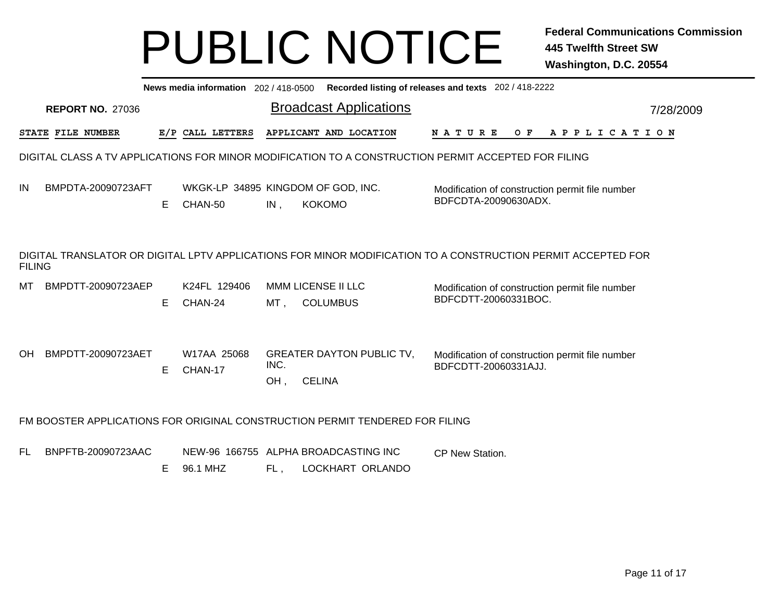|        |                          |    |                         |             | News media information 202/418-0500 Recorded listing of releases and texts 202/418-2222                      |                      |     |                                                 |           |
|--------|--------------------------|----|-------------------------|-------------|--------------------------------------------------------------------------------------------------------------|----------------------|-----|-------------------------------------------------|-----------|
|        | <b>REPORT NO. 27036</b>  |    |                         |             | <b>Broadcast Applications</b>                                                                                |                      |     |                                                 | 7/28/2009 |
|        | <b>STATE FILE NUMBER</b> |    | E/P CALL LETTERS        |             | APPLICANT AND LOCATION                                                                                       | N A T U R E          | O F | A P P L I C A T I O N                           |           |
|        |                          |    |                         |             | DIGITAL CLASS A TV APPLICATIONS FOR MINOR MODIFICATION TO A CONSTRUCTION PERMIT ACCEPTED FOR FILING          |                      |     |                                                 |           |
| ΙN     | BMPDTA-20090723AFT       | E. | CHAN-50                 | IN,         | WKGK-LP 34895 KINGDOM OF GOD, INC.<br><b>KOKOMO</b>                                                          | BDFCDTA-20090630ADX. |     | Modification of construction permit file number |           |
| FILING |                          |    |                         |             | DIGITAL TRANSLATOR OR DIGITAL LPTV APPLICATIONS FOR MINOR MODIFICATION TO A CONSTRUCTION PERMIT ACCEPTED FOR |                      |     |                                                 |           |
| MТ     | BMPDTT-20090723AEP       | E. | K24FL 129406<br>CHAN-24 | MT ,        | MMM LICENSE II LLC<br><b>COLUMBUS</b>                                                                        | BDFCDTT-20060331BOC. |     | Modification of construction permit file number |           |
| OH     | BMPDTT-20090723AET       | Е  | W17AA 25068<br>CHAN-17  | INC.<br>OH, | <b>GREATER DAYTON PUBLIC TV,</b><br><b>CELINA</b>                                                            | BDFCDTT-20060331AJJ. |     | Modification of construction permit file number |           |
|        |                          |    |                         |             | FM BOOSTER APPLICATIONS FOR ORIGINAL CONSTRUCTION PERMIT TENDERED FOR FILING                                 |                      |     |                                                 |           |
| FL.    | BNPFTB-20090723AAC       | Е  | 96.1 MHZ                | FL.         | NEW-96 166755 ALPHA BROADCASTING INC<br>LOCKHART ORLANDO                                                     | CP New Station.      |     |                                                 |           |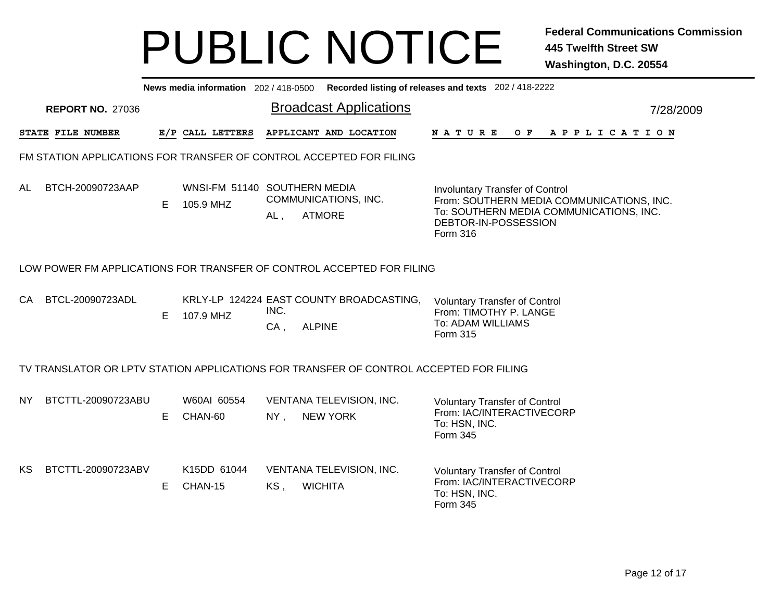|           |                         |    |                                           |                | News media information 202/418-0500 Recorded listing of releases and texts 202/418-2222 |                                                                                                                                                                    |
|-----------|-------------------------|----|-------------------------------------------|----------------|-----------------------------------------------------------------------------------------|--------------------------------------------------------------------------------------------------------------------------------------------------------------------|
|           | <b>REPORT NO. 27036</b> |    |                                           |                | <b>Broadcast Applications</b>                                                           | 7/28/2009                                                                                                                                                          |
|           | STATE FILE NUMBER       |    | E/P CALL LETTERS                          |                | APPLICANT AND LOCATION                                                                  | N A T U R E<br>OF APPLICATION                                                                                                                                      |
|           |                         |    |                                           |                | FM STATION APPLICATIONS FOR TRANSFER OF CONTROL ACCEPTED FOR FILING                     |                                                                                                                                                                    |
| AL        | BTCH-20090723AAP        | E  | WNSI-FM 51140 SOUTHERN MEDIA<br>105.9 MHZ | AL,            | COMMUNICATIONS, INC.<br><b>ATMORE</b>                                                   | <b>Involuntary Transfer of Control</b><br>From: SOUTHERN MEDIA COMMUNICATIONS, INC.<br>To: SOUTHERN MEDIA COMMUNICATIONS, INC.<br>DEBTOR-IN-POSSESSION<br>Form 316 |
|           |                         |    |                                           |                | LOW POWER FM APPLICATIONS FOR TRANSFER OF CONTROL ACCEPTED FOR FILING                   |                                                                                                                                                                    |
| CA        | BTCL-20090723ADL        | Е  | 107.9 MHZ                                 | INC.<br>$CA$ , | KRLY-LP 124224 EAST COUNTY BROADCASTING,<br><b>ALPINE</b>                               | <b>Voluntary Transfer of Control</b><br>From: TIMOTHY P. LANGE<br>To: ADAM WILLIAMS<br>Form 315                                                                    |
|           |                         |    |                                           |                | TV TRANSLATOR OR LPTV STATION APPLICATIONS FOR TRANSFER OF CONTROL ACCEPTED FOR FILING  |                                                                                                                                                                    |
| <b>NY</b> | BTCTTL-20090723ABU      | E. | W60AI 60554<br>CHAN-60                    | $NY$ ,         | VENTANA TELEVISION, INC.<br><b>NEW YORK</b>                                             | <b>Voluntary Transfer of Control</b><br>From: IAC/INTERACTIVECORP<br>To: HSN, INC.<br>Form 345                                                                     |
| KS        | BTCTTL-20090723ABV      | E. | K15DD 61044<br>CHAN-15                    | KS,            | VENTANA TELEVISION, INC.<br><b>WICHITA</b>                                              | <b>Voluntary Transfer of Control</b><br>From: IAC/INTERACTIVECORP<br>To: HSN, INC.<br>Form 345                                                                     |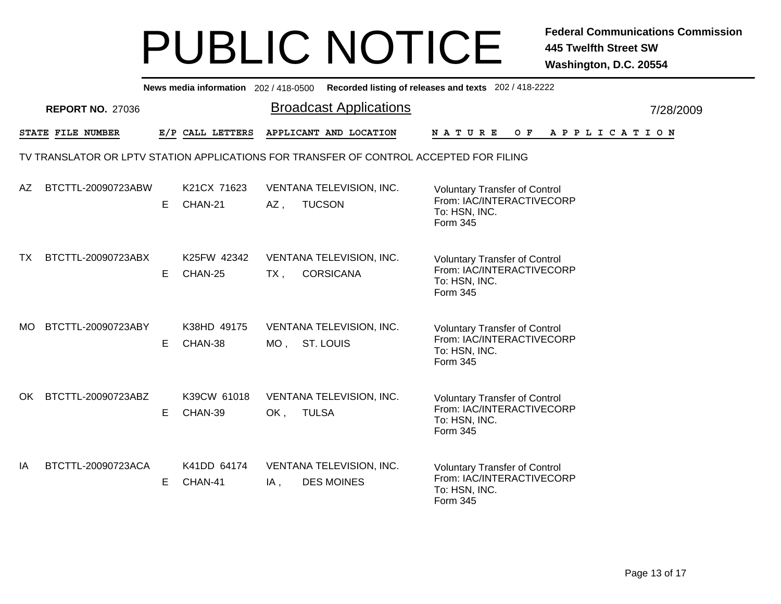|     |                         |    |                        |        | News media information 202/418-0500 Recorded listing of releases and texts 202/418-2222 |                                                                                                |  |       |  |  |  |             |  |
|-----|-------------------------|----|------------------------|--------|-----------------------------------------------------------------------------------------|------------------------------------------------------------------------------------------------|--|-------|--|--|--|-------------|--|
|     | <b>REPORT NO. 27036</b> |    |                        |        | <b>Broadcast Applications</b>                                                           |                                                                                                |  |       |  |  |  | 7/28/2009   |  |
|     | STATE FILE NUMBER       |    | E/P CALL LETTERS       |        | APPLICANT AND LOCATION                                                                  | NATURE                                                                                         |  | $O$ F |  |  |  | APPLICATION |  |
|     |                         |    |                        |        | TV TRANSLATOR OR LPTV STATION APPLICATIONS FOR TRANSFER OF CONTROL ACCEPTED FOR FILING  |                                                                                                |  |       |  |  |  |             |  |
| AZ. | BTCTTL-20090723ABW      | Е  | K21CX 71623<br>CHAN-21 | AZ,    | VENTANA TELEVISION, INC.<br><b>TUCSON</b>                                               | <b>Voluntary Transfer of Control</b><br>From: IAC/INTERACTIVECORP<br>To: HSN, INC.<br>Form 345 |  |       |  |  |  |             |  |
| TX. | BTCTTL-20090723ABX      | E. | K25FW 42342<br>CHAN-25 | $TX$ , | VENTANA TELEVISION, INC.<br><b>CORSICANA</b>                                            | <b>Voluntary Transfer of Control</b><br>From: IAC/INTERACTIVECORP<br>To: HSN, INC.<br>Form 345 |  |       |  |  |  |             |  |
| MO. | BTCTTL-20090723ABY      | E. | K38HD 49175<br>CHAN-38 |        | VENTANA TELEVISION, INC.<br>MO, ST. LOUIS                                               | <b>Voluntary Transfer of Control</b><br>From: IAC/INTERACTIVECORP<br>To: HSN, INC.<br>Form 345 |  |       |  |  |  |             |  |
| OK. | BTCTTL-20090723ABZ      | Е  | K39CW 61018<br>CHAN-39 | OK,    | VENTANA TELEVISION, INC.<br><b>TULSA</b>                                                | <b>Voluntary Transfer of Control</b><br>From: IAC/INTERACTIVECORP<br>To: HSN, INC.<br>Form 345 |  |       |  |  |  |             |  |
| IA  | BTCTTL-20090723ACA      | Е  | K41DD 64174<br>CHAN-41 | IA,    | VENTANA TELEVISION, INC.<br><b>DES MOINES</b>                                           | <b>Voluntary Transfer of Control</b><br>From: IAC/INTERACTIVECORP<br>To: HSN, INC.<br>Form 345 |  |       |  |  |  |             |  |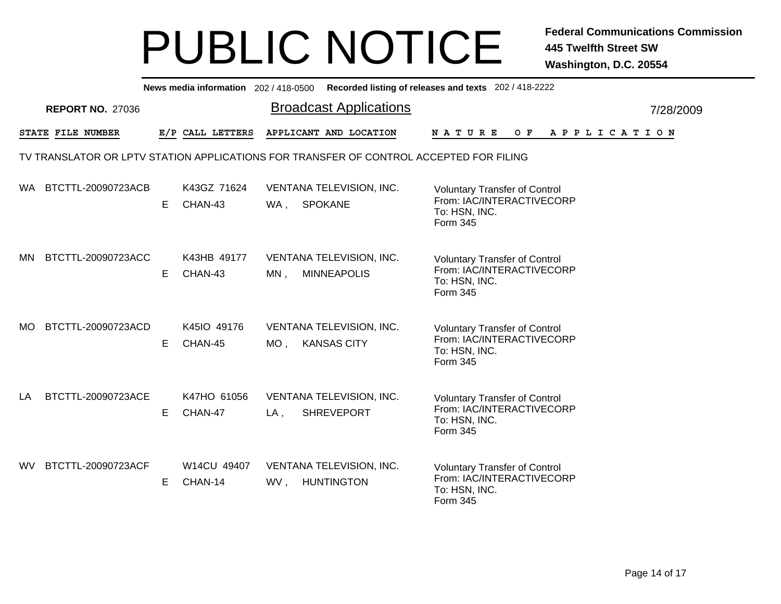|                           |    |                        | News media information 202/418-0500 Recorded listing of releases and texts 202/418-2222 |                                                                                                |           |
|---------------------------|----|------------------------|-----------------------------------------------------------------------------------------|------------------------------------------------------------------------------------------------|-----------|
| <b>REPORT NO. 27036</b>   |    |                        | <b>Broadcast Applications</b>                                                           |                                                                                                | 7/28/2009 |
| STATE FILE NUMBER         |    | E/P CALL LETTERS       | APPLICANT AND LOCATION                                                                  | <b>NATURE</b><br>$O$ $F$<br>A P P L I C A T I O N                                              |           |
|                           |    |                        | TV TRANSLATOR OR LPTV STATION APPLICATIONS FOR TRANSFER OF CONTROL ACCEPTED FOR FILING  |                                                                                                |           |
| BTCTTL-20090723ACB<br>WA. | E. | K43GZ 71624<br>CHAN-43 | VENTANA TELEVISION, INC.<br>WA, SPOKANE                                                 | <b>Voluntary Transfer of Control</b><br>From: IAC/INTERACTIVECORP<br>To: HSN, INC.<br>Form 345 |           |
| BTCTTL-20090723ACC<br>MN  | E. | K43HB 49177<br>CHAN-43 | VENTANA TELEVISION, INC.<br><b>MINNEAPOLIS</b><br>$MN$ ,                                | <b>Voluntary Transfer of Control</b><br>From: IAC/INTERACTIVECORP<br>To: HSN, INC.<br>Form 345 |           |
| BTCTTL-20090723ACD<br>MO. | Е  | K45IO 49176<br>CHAN-45 | VENTANA TELEVISION, INC.<br><b>KANSAS CITY</b><br>MO ,                                  | <b>Voluntary Transfer of Control</b><br>From: IAC/INTERACTIVECORP<br>To: HSN, INC.<br>Form 345 |           |
| BTCTTL-20090723ACE<br>LA  | E. | K47HO 61056<br>CHAN-47 | VENTANA TELEVISION, INC.<br><b>SHREVEPORT</b><br>$LA$ ,                                 | <b>Voluntary Transfer of Control</b><br>From: IAC/INTERACTIVECORP<br>To: HSN, INC.<br>Form 345 |           |
| BTCTTL-20090723ACF<br>WV. | E  | W14CU 49407<br>CHAN-14 | VENTANA TELEVISION, INC.<br>WV,<br><b>HUNTINGTON</b>                                    | <b>Voluntary Transfer of Control</b><br>From: IAC/INTERACTIVECORP<br>To: HSN, INC.<br>Form 345 |           |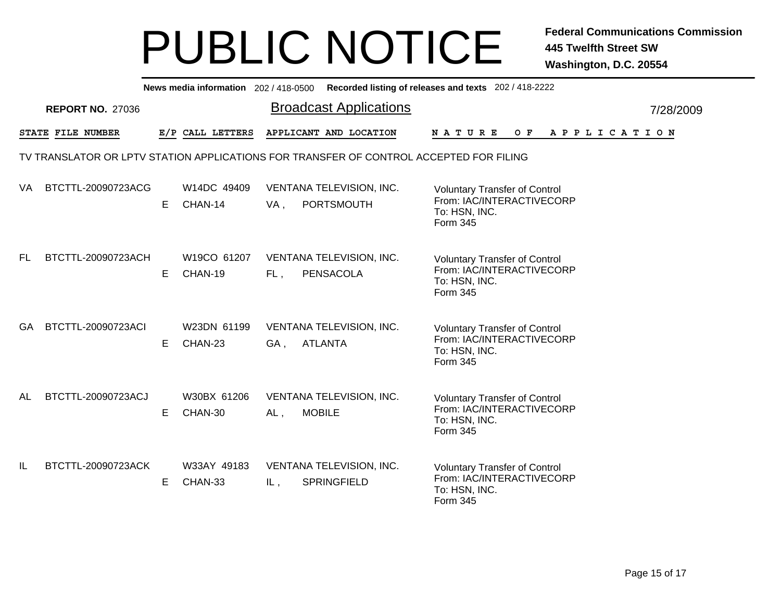|     |                         |   |                        |        | News media information 202/418-0500 Recorded listing of releases and texts 202/418-2222 |                           |  |                                                                   |  |  |  |                       |  |
|-----|-------------------------|---|------------------------|--------|-----------------------------------------------------------------------------------------|---------------------------|--|-------------------------------------------------------------------|--|--|--|-----------------------|--|
|     | <b>REPORT NO. 27036</b> |   |                        |        | <b>Broadcast Applications</b>                                                           |                           |  |                                                                   |  |  |  | 7/28/2009             |  |
|     | STATE FILE NUMBER       |   | E/P CALL LETTERS       |        | APPLICANT AND LOCATION                                                                  | <b>NATURE</b>             |  | O F                                                               |  |  |  | A P P L I C A T I O N |  |
|     |                         |   |                        |        | TV TRANSLATOR OR LPTV STATION APPLICATIONS FOR TRANSFER OF CONTROL ACCEPTED FOR FILING  |                           |  |                                                                   |  |  |  |                       |  |
| VA  | BTCTTL-20090723ACG      | E | W14DC 49409<br>CHAN-14 | VA,    | VENTANA TELEVISION, INC.<br>PORTSMOUTH                                                  | To: HSN, INC.<br>Form 345 |  | <b>Voluntary Transfer of Control</b><br>From: IAC/INTERACTIVECORP |  |  |  |                       |  |
| FL. | BTCTTL-20090723ACH      | E | W19CO 61207<br>CHAN-19 | FL,    | VENTANA TELEVISION, INC.<br><b>PENSACOLA</b>                                            | To: HSN, INC.<br>Form 345 |  | <b>Voluntary Transfer of Control</b><br>From: IAC/INTERACTIVECORP |  |  |  |                       |  |
| GA. | BTCTTL-20090723ACI      | Е | W23DN 61199<br>CHAN-23 | GA,    | VENTANA TELEVISION, INC.<br><b>ATLANTA</b>                                              | To: HSN, INC.<br>Form 345 |  | <b>Voluntary Transfer of Control</b><br>From: IAC/INTERACTIVECORP |  |  |  |                       |  |
| AL  | BTCTTL-20090723ACJ      | Е | W30BX 61206<br>CHAN-30 | $AL$ , | VENTANA TELEVISION, INC.<br><b>MOBILE</b>                                               | To: HSN, INC.<br>Form 345 |  | <b>Voluntary Transfer of Control</b><br>From: IAC/INTERACTIVECORP |  |  |  |                       |  |
| IL  | BTCTTL-20090723ACK      | Е | W33AY 49183<br>CHAN-33 | IL,    | VENTANA TELEVISION, INC.<br><b>SPRINGFIELD</b>                                          | To: HSN, INC.<br>Form 345 |  | <b>Voluntary Transfer of Control</b><br>From: IAC/INTERACTIVECORP |  |  |  |                       |  |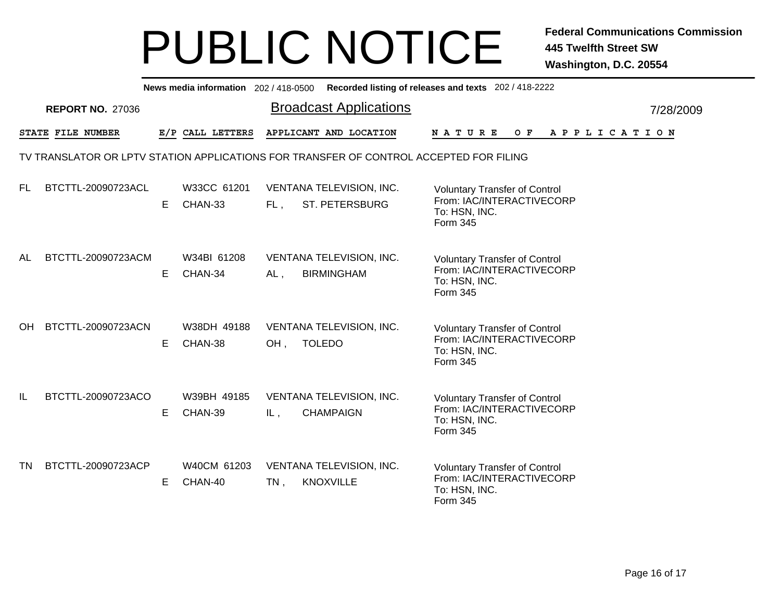|     |                         |    |                        |        | News media information 202/418-0500 Recorded listing of releases and texts 202/418-2222 |                                                                                                |  |                           |  |             |  |  |           |
|-----|-------------------------|----|------------------------|--------|-----------------------------------------------------------------------------------------|------------------------------------------------------------------------------------------------|--|---------------------------|--|-------------|--|--|-----------|
|     | <b>REPORT NO. 27036</b> |    |                        |        | <b>Broadcast Applications</b>                                                           |                                                                                                |  |                           |  |             |  |  | 7/28/2009 |
|     | STATE FILE NUMBER       |    | E/P CALL LETTERS       |        | APPLICANT AND LOCATION                                                                  | NATURE                                                                                         |  | $O$ F                     |  | APPLICATION |  |  |           |
|     |                         |    |                        |        | TV TRANSLATOR OR LPTV STATION APPLICATIONS FOR TRANSFER OF CONTROL ACCEPTED FOR FILING  |                                                                                                |  |                           |  |             |  |  |           |
| FL. | BTCTTL-20090723ACL      | Е  | W33CC 61201<br>CHAN-33 | FL,    | VENTANA TELEVISION, INC.<br>ST. PETERSBURG                                              | <b>Voluntary Transfer of Control</b><br>To: HSN, INC.<br>Form 345                              |  | From: IAC/INTERACTIVECORP |  |             |  |  |           |
| AL  | BTCTTL-20090723ACM      | Е  | W34BI 61208<br>CHAN-34 | AL,    | VENTANA TELEVISION, INC.<br><b>BIRMINGHAM</b>                                           | <b>Voluntary Transfer of Control</b><br>To: HSN, INC.<br>Form 345                              |  | From: IAC/INTERACTIVECORP |  |             |  |  |           |
| OH. | BTCTTL-20090723ACN      | E. | W38DH 49188<br>CHAN-38 | OH,    | VENTANA TELEVISION, INC.<br><b>TOLEDO</b>                                               | <b>Voluntary Transfer of Control</b><br>From: IAC/INTERACTIVECORP<br>To: HSN, INC.<br>Form 345 |  |                           |  |             |  |  |           |
| IL  | BTCTTL-20090723ACO      | Е  | W39BH 49185<br>CHAN-39 | IL,    | VENTANA TELEVISION, INC.<br><b>CHAMPAIGN</b>                                            | <b>Voluntary Transfer of Control</b><br>From: IAC/INTERACTIVECORP<br>To: HSN, INC.<br>Form 345 |  |                           |  |             |  |  |           |
| TN  | BTCTTL-20090723ACP      | E  | W40CM 61203<br>CHAN-40 | $TN$ , | VENTANA TELEVISION, INC.<br><b>KNOXVILLE</b>                                            | <b>Voluntary Transfer of Control</b><br>To: HSN, INC.<br>Form 345                              |  | From: IAC/INTERACTIVECORP |  |             |  |  |           |